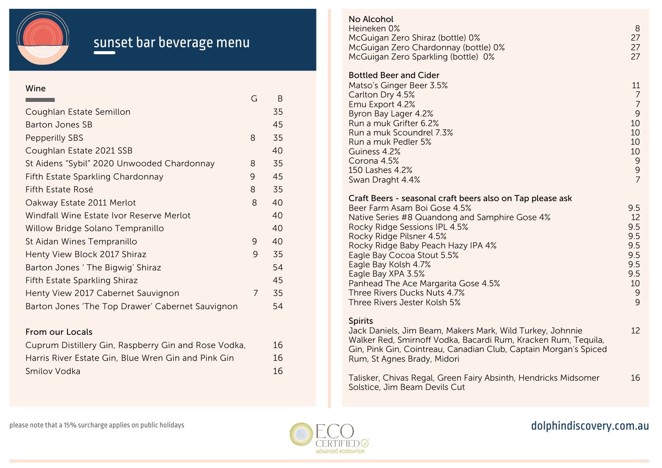

# sunset bar beverage menu

#### Wine

| G              | B  |
|----------------|----|
|                | 35 |
|                | 45 |
| 8              | 35 |
|                | 40 |
| 8              | 35 |
| 9              | 45 |
| 8              | 35 |
| 8              | 40 |
|                | 40 |
|                | 40 |
| 9              | 40 |
| 9              | 35 |
|                | 54 |
|                | 45 |
| $\overline{7}$ | 35 |
|                | 54 |
|                |    |

### From our Locals

| Cuprum Distillery Gin, Raspberry Gin and Rose Vodka, | 16 |
|------------------------------------------------------|----|
| Harris River Estate Gin, Blue Wren Gin and Pink Gin  | 16 |
| Smilov Vodka                                         | 16 |

#### Bottled Beer and Cider Matso's Ginger Beer 3.5% Carlton Dry 4.5% Emu Export 4.2% Byron Bay Lager 4.2% Run a muk Grifter 6.2% Run a muk Scoundrel 7.3% Run a muk Pedler 5% Guiness 4.2% Corona 4.5% 150 Lashes 4.2% Swan Draght 4.4% Craft Beers - seasonal craft beers also on Tap please ask Beer Farm Asam Boi Gose 4.5% Native Series #8 Quandong and Samphire Gose 4% Rocky Ridge Sessions IPL 4.5% Rocky Ridge Pilsner 4.5% Rocky Ridge Baby Peach Hazy IPA 4% Eagle Bay Cocoa Stout 5.5% Eagle Bay Kolsh 4.7% Eagle Bay XPA 3.5% Panhead The Ace Margarita Gose 4.5% Three Rivers Ducks Nuts 4.7% Three Rivers Jester Kolsh 5% **Spirits** Jack Daniels, Jim Beam, Makers Mark, Wild Turkey, Johnnie Walker Red, Smirnoff Vodka, Bacardi Rum, Kracken Rum, Tequila, Gin, Pink Gin, Cointreau, Canadian Club, Captain Morgan's Spiced Rum, St Agnes Brady, Midori Talisker, Chivas Regal, Green Fairy Absinth, Hendricks Midsomer Solstice, Jim Beam Devils Cut 11 7 7 9 10 10 10 10 9 9 7 9.5 12 9.5 9.5 9.5 9.5 9.5 9.5 10 9 9 12 16 No Alcohol Heineken 0% McGuigan Zero Shiraz (bottle) 0% McGuigan Zero Chardonnay (bottle) 0% McGuigan Zero Sparkling (bottle) 0% 8 27 27 27



## dolphindiscovery.com.au